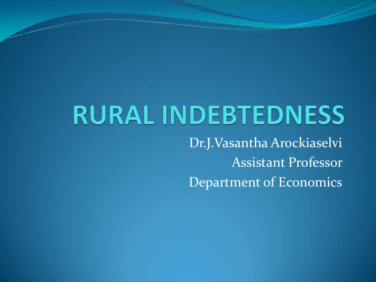## **RURAL INDEBTEDNESS**

Dr.J.Vasantha Arockiaselvi Assistant Professor Department of Economics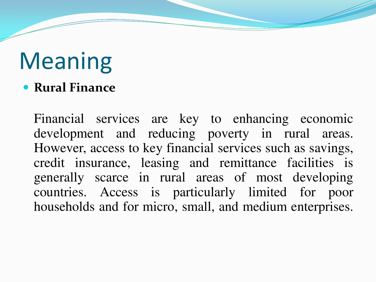## Meaning

**Rural Finance**

Financial services are key to enhancing economic development and reducing poverty in rural areas. However, access to key financial services such as savings, credit insurance, leasing and remittance facilities is generally scarce in rural areas of most developing countries. Access is particularly limited for poor households and for micro, small, and medium enterprises.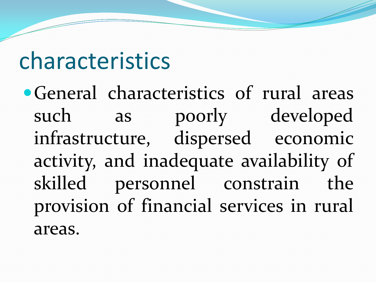#### characteristics

General characteristics of rural areas such as poorly developed infrastructure, dispersed economic activity, and inadequate availability of skilled personnel constrain the provision of financial services in rural areas.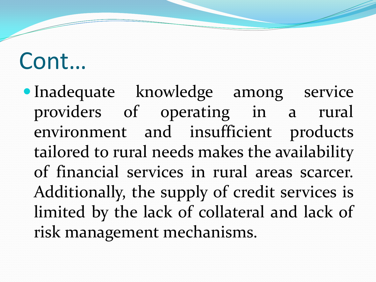Inadequate knowledge among service providers of operating in a rural environment and insufficient products tailored to rural needs makes the availability of financial services in rural areas scarcer. Additionally, the supply of credit services is limited by the lack of collateral and lack of risk management mechanisms.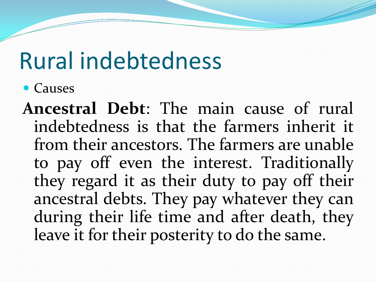## Rural indebtedness

• Causes

**Ancestral Debt**: The main cause of rural indebtedness is that the farmers inherit it from their ancestors. The farmers are unable to pay off even the interest. Traditionally they regard it as their duty to pay off their ancestral debts. They pay whatever they can during their life time and after death, they leave it for their posterity to do the same.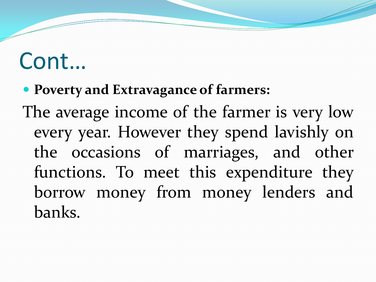#### **Poverty and Extravagance of farmers:**

The average income of the farmer is very low every year. However they spend lavishly on the occasions of marriages, and other functions. To meet this expenditure they borrow money from money lenders and banks.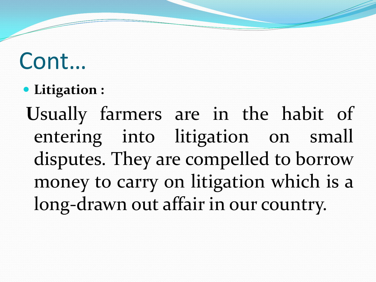**Litigation :** 

**U**sually farmers are in the habit of entering into litigation on small disputes. They are compelled to borrow money to carry on litigation which is a long-drawn out affair in our country.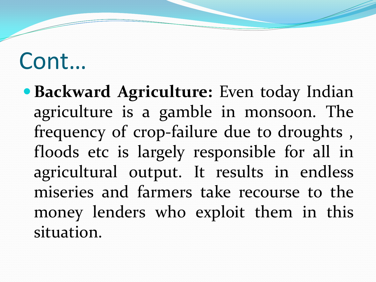**• Backward Agriculture:** Even today Indian agriculture is a gamble in monsoon. The frequency of crop-failure due to droughts , floods etc is largely responsible for all in agricultural output. It results in endless miseries and farmers take recourse to the money lenders who exploit them in this situation.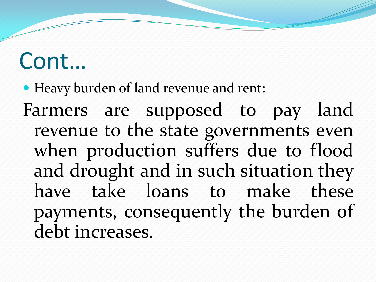Heavy burden of land revenue and rent: Farmers are supposed to pay land revenue to the state governments even when production suffers due to flood and drought and in such situation they have take loans to make these payments, consequently the burden of debt increases.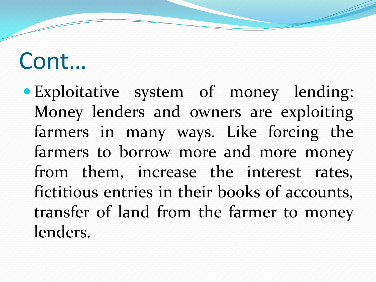Exploitative system of money lending: Money lenders and owners are exploiting farmers in many ways. Like forcing the farmers to borrow more and more money from them, increase the interest rates, fictitious entries in their books of accounts, transfer of land from the farmer to money lenders.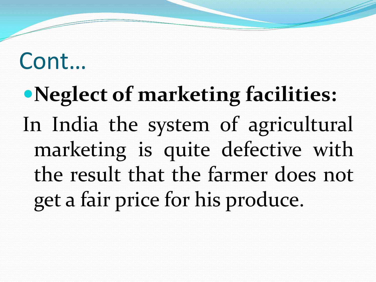# **Neglect of marketing facilities:**  In India the system of agricultural marketing is quite defective with the result that the farmer does not get a fair price for his produce.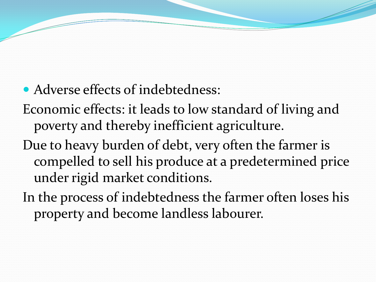• Adverse effects of indebtedness:

Economic effects: it leads to low standard of living and poverty and thereby inefficient agriculture.

Due to heavy burden of debt, very often the farmer is compelled to sell his produce at a predetermined price under rigid market conditions.

In the process of indebtedness the farmer often loses his property and become landless labourer.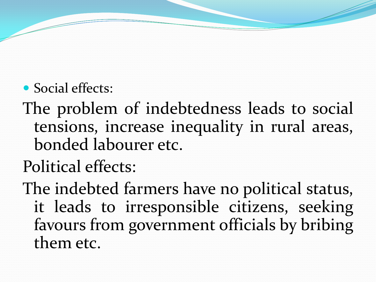- Social effects:
- The problem of indebtedness leads to social tensions, increase inequality in rural areas, bonded labourer etc.
- Political effects:
- The indebted farmers have no political status, it leads to irresponsible citizens, seeking favours from government officials by bribing them etc.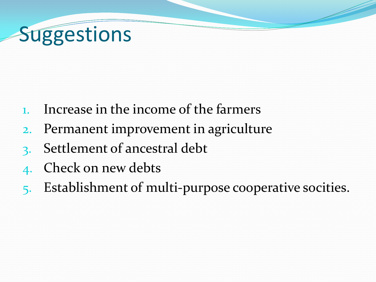## **Suggestions**

- 1. Increase in the income of the farmers
- 2. Permanent improvement in agriculture
- Settlement of ancestral debt
- 4. Check on new debts
- 5. Establishment of multi-purpose cooperative socities.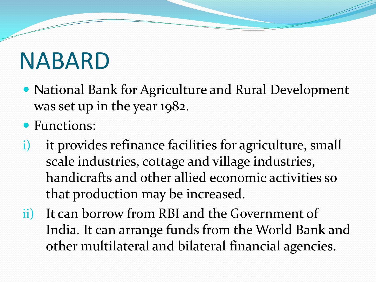## NABARD

- National Bank for Agriculture and Rural Development was set up in the year 1982.
- Functions:
- i) it provides refinance facilities for agriculture, small scale industries, cottage and village industries, handicrafts and other allied economic activities so that production may be increased.
- ii) It can borrow from RBI and the Government of India. It can arrange funds from the World Bank and other multilateral and bilateral financial agencies.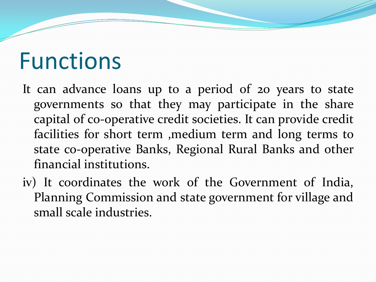#### Functions

- It can advance loans up to a period of 20 years to state governments so that they may participate in the share capital of co-operative credit societies. It can provide credit facilities for short term ,medium term and long terms to state co-operative Banks, Regional Rural Banks and other financial institutions.
- iv) It coordinates the work of the Government of India, Planning Commission and state government for village and small scale industries.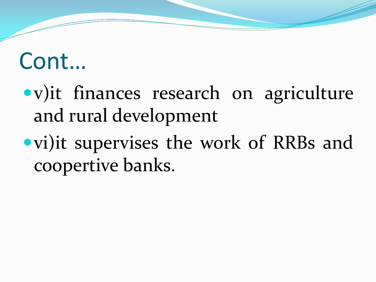- v)it finances research on agriculture and rural development
- vi)it supervises the work of RRBs and coopertive banks.